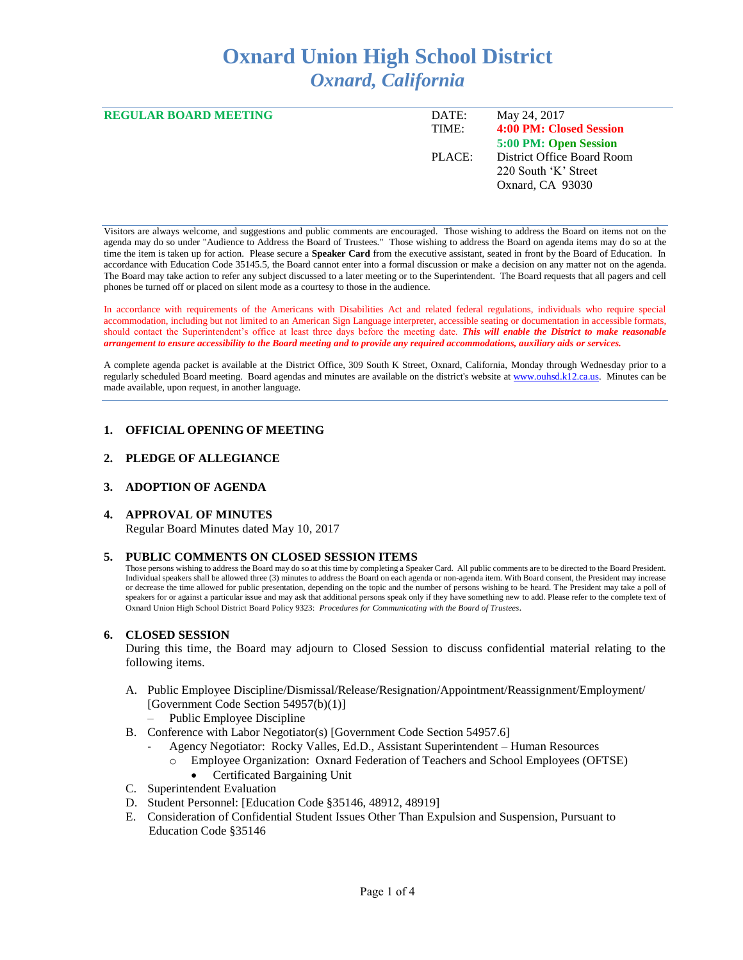# **Oxnard Union High School District** *Oxnard, California*

| <b>REGULAR BOARD MEETING</b> | DATE:  | May 24, 2017               |
|------------------------------|--------|----------------------------|
|                              | TIME:  | 4:00 PM: Closed Session    |
|                              |        | 5:00 PM: Open Session      |
|                              | PLACE: | District Office Board Room |
|                              |        | 220 South 'K' Street       |
|                              |        | Oxnard, CA 93030           |
|                              |        |                            |

Visitors are always welcome, and suggestions and public comments are encouraged. Those wishing to address the Board on items not on the agenda may do so under "Audience to Address the Board of Trustees." Those wishing to address the Board on agenda items may do so at the time the item is taken up for action. Please secure a **Speaker Card** from the executive assistant, seated in front by the Board of Education. In accordance with Education Code 35145.5, the Board cannot enter into a formal discussion or make a decision on any matter not on the agenda. The Board may take action to refer any subject discussed to a later meeting or to the Superintendent. The Board requests that all pagers and cell phones be turned off or placed on silent mode as a courtesy to those in the audience.

In accordance with requirements of the Americans with Disabilities Act and related federal regulations, individuals who require special accommodation, including but not limited to an American Sign Language interpreter, accessible seating or documentation in accessible formats, should contact the Superintendent's office at least three days before the meeting date. *This will enable the District to make reasonable arrangement to ensure accessibility to the Board meeting and to provide any required accommodations, auxiliary aids or services.* 

A complete agenda packet is available at the District Office, 309 South K Street, Oxnard, California, Monday through Wednesday prior to a regularly scheduled Board meeting. Board agendas and minutes are available on the district's website a[t www.ouhsd.k12.ca.us.](http://www.ouhsd.k12.ca.us/)Minutes can be made available, upon request, in another language.

# **1. OFFICIAL OPENING OF MEETING**

## **2. PLEDGE OF ALLEGIANCE**

# **3. ADOPTION OF AGENDA**

## **4. APPROVAL OF MINUTES**

Regular Board Minutes dated May 10, 2017

## **5. PUBLIC COMMENTS ON CLOSED SESSION ITEMS**

Those persons wishing to address the Board may do so at this time by completing a Speaker Card. All public comments are to be directed to the Board President. Individual speakers shall be allowed three (3) minutes to address the Board on each agenda or non-agenda item. With Board consent, the President may increase or decrease the time allowed for public presentation, depending on the topic and the number of persons wishing to be heard. The President may take a poll of speakers for or against a particular issue and may ask that additional persons speak only if they have something new to add. Please refer to the complete text of Oxnard Union High School District Board Policy 9323: *Procedures for Communicating with the Board of Trustees*.

## **6. CLOSED SESSION**

During this time, the Board may adjourn to Closed Session to discuss confidential material relating to the following items.

- A. Public Employee Discipline/Dismissal/Release/Resignation/Appointment/Reassignment/Employment/ [Government Code Section 54957(b)(1)]
	- Public Employee Discipline
- B. Conference with Labor Negotiator(s) [Government Code Section 54957.6]
	- Agency Negotiator: Rocky Valles, Ed.D., Assistant Superintendent Human Resources
		- o Employee Organization: Oxnard Federation of Teachers and School Employees (OFTSE)
			- Certificated Bargaining Unit
- C. Superintendent Evaluation
- D. Student Personnel: [Education Code §35146, 48912, 48919]
- E. Consideration of Confidential Student Issues Other Than Expulsion and Suspension, Pursuant to Education Code §35146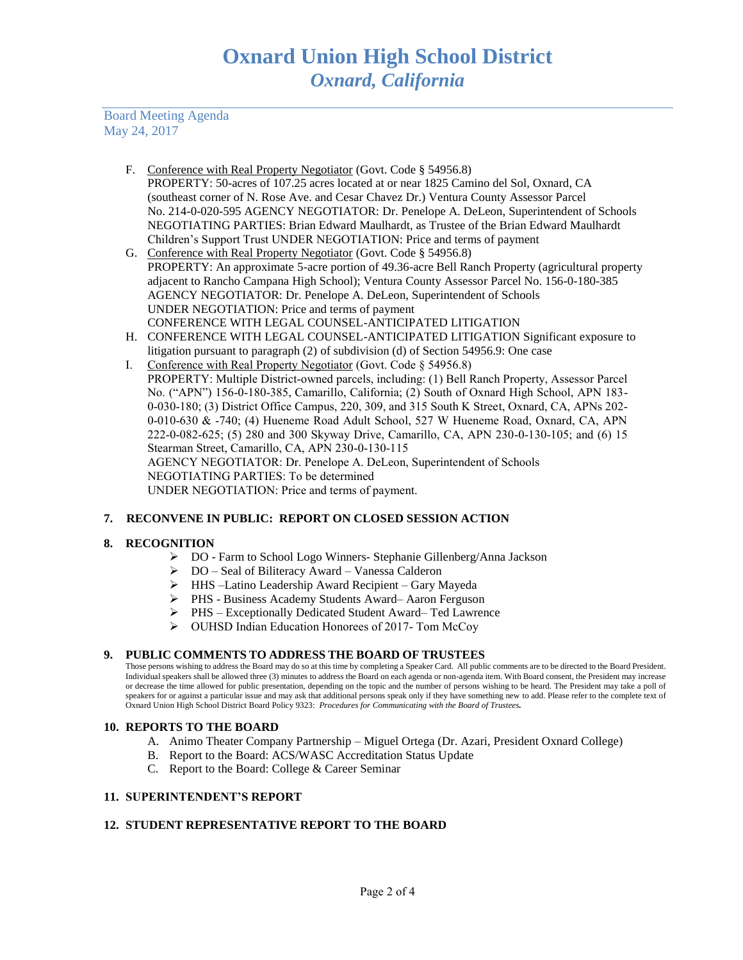Board Meeting Agenda May 24, 2017

- F. Conference with Real Property Negotiator (Govt. Code § 54956.8) PROPERTY: 50-acres of 107.25 acres located at or near 1825 Camino del Sol, Oxnard, CA (southeast corner of N. Rose Ave. and Cesar Chavez Dr.) Ventura County Assessor Parcel No. 214-0-020-595 AGENCY NEGOTIATOR: Dr. Penelope A. DeLeon, Superintendent of Schools NEGOTIATING PARTIES: Brian Edward Maulhardt, as Trustee of the Brian Edward Maulhardt Children's Support Trust UNDER NEGOTIATION: Price and terms of payment
- G. Conference with Real Property Negotiator (Govt. Code § 54956.8) PROPERTY: An approximate 5-acre portion of 49.36-acre Bell Ranch Property (agricultural property adjacent to Rancho Campana High School); Ventura County Assessor Parcel No. 156-0-180-385 AGENCY NEGOTIATOR: Dr. Penelope A. DeLeon, Superintendent of Schools UNDER NEGOTIATION: Price and terms of payment CONFERENCE WITH LEGAL COUNSEL-ANTICIPATED LITIGATION
- H. CONFERENCE WITH LEGAL COUNSEL-ANTICIPATED LITIGATION Significant exposure to litigation pursuant to paragraph (2) of subdivision (d) of Section 54956.9: One case
- I. Conference with Real Property Negotiator (Govt. Code § 54956.8) PROPERTY: Multiple District-owned parcels, including: (1) Bell Ranch Property, Assessor Parcel No. ("APN") 156-0-180-385, Camarillo, California; (2) South of Oxnard High School, APN 183- 0-030-180; (3) District Office Campus, 220, 309, and 315 South K Street, Oxnard, CA, APNs 202- 0-010-630 & -740; (4) Hueneme Road Adult School, 527 W Hueneme Road, Oxnard, CA, APN 222-0-082-625; (5) 280 and 300 Skyway Drive, Camarillo, CA, APN 230-0-130-105; and (6) 15 Stearman Street, Camarillo, CA, APN 230-0-130-115 AGENCY NEGOTIATOR: Dr. Penelope A. DeLeon, Superintendent of Schools NEGOTIATING PARTIES: To be determined UNDER NEGOTIATION: Price and terms of payment.

# **7. RECONVENE IN PUBLIC: REPORT ON CLOSED SESSION ACTION**

# **8. RECOGNITION**

- ➢ DO Farm to School Logo Winners- Stephanie Gillenberg/Anna Jackson
- ➢ DO Seal of Biliteracy Award Vanessa Calderon
- ➢ HHS –Latino Leadership Award Recipient Gary Mayeda
- ➢ PHS Business Academy Students Award– Aaron Ferguson
- ➢ PHS Exceptionally Dedicated Student Award– Ted Lawrence
- ➢ OUHSD Indian Education Honorees of 2017- Tom McCoy

# **9. PUBLIC COMMENTS TO ADDRESS THE BOARD OF TRUSTEES**

Those persons wishing to address the Board may do so at this time by completing a Speaker Card. All public comments are to be directed to the Board President. Individual speakers shall be allowed three (3) minutes to address the Board on each agenda or non-agenda item. With Board consent, the President may increase or decrease the time allowed for public presentation, depending on the topic and the number of persons wishing to be heard. The President may take a poll of speakers for or against a particular issue and may ask that additional persons speak only if they have something new to add. Please refer to the complete text of Oxnard Union High School District Board Policy 9323: *Procedures for Communicating with the Board of Trustees.*

# **10. REPORTS TO THE BOARD**

- A. Animo Theater Company Partnership Miguel Ortega (Dr. Azari, President Oxnard College)
- B. Report to the Board: ACS/WASC Accreditation Status Update
- C. Report to the Board: College & Career Seminar

## **11. SUPERINTENDENT'S REPORT**

## **12. STUDENT REPRESENTATIVE REPORT TO THE BOARD**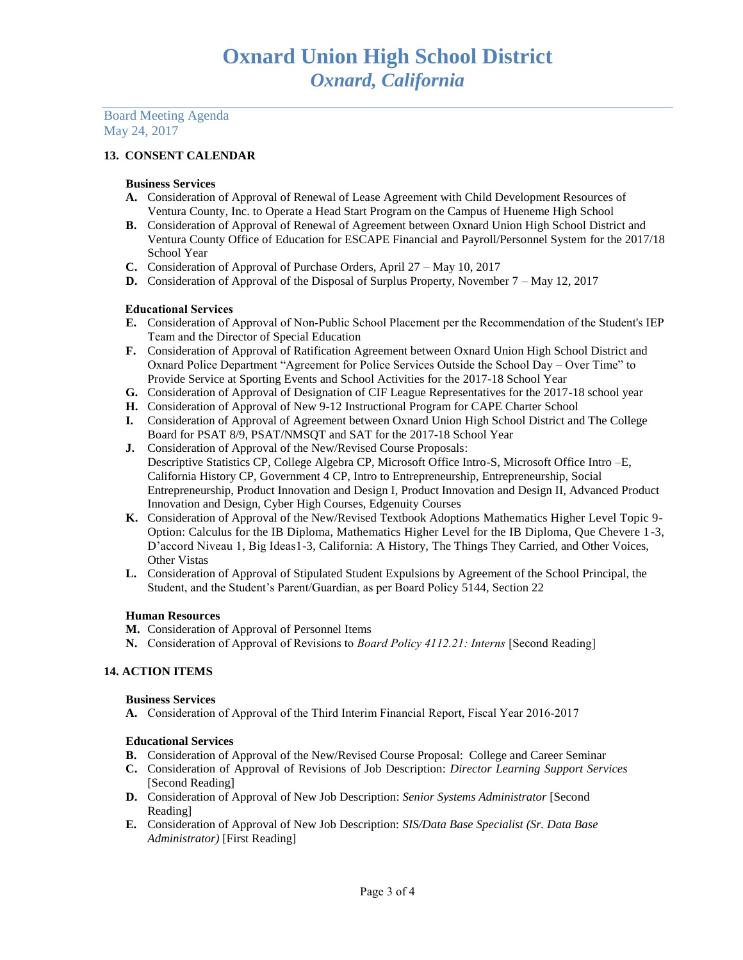Board Meeting Agenda May 24, 2017

# **13. CONSENT CALENDAR**

## **Business Services**

- **A.** Consideration of Approval of Renewal of Lease Agreement with Child Development Resources of Ventura County, Inc. to Operate a Head Start Program on the Campus of Hueneme High School
- **B.** Consideration of Approval of Renewal of Agreement between Oxnard Union High School District and Ventura County Office of Education for ESCAPE Financial and Payroll/Personnel System for the 2017/18 School Year
- **C.** Consideration of Approval of Purchase Orders, April 27 May 10, 2017
- **D.** Consideration of Approval of the Disposal of Surplus Property, November 7 May 12, 2017

# Educational Services

- **E.** Consideration of Approval of Non-Public School Placement per the Recommendation of the Student's IEP Team and the Director of Special Education
- **F.** Consideration of Approval of Ratification Agreement between Oxnard Union High School District and Oxnard Police Department "Agreement for Police Services Outside the School Day – Over Time" to Provide Service at Sporting Events and School Activities for the 2017-18 School Year
- **G.** Consideration of Approval of Designation of CIF League Representatives for the 2017-18 school year
- **H.** Consideration of Approval of New 9-12 Instructional Program for CAPE Charter School
- **I.** Consideration of Approval of Agreement between Oxnard Union High School District and The College Board for PSAT 8/9, PSAT/NMSQT and SAT for the 2017-18 School Year
- **J.** Consideration of Approval of the New/Revised Course Proposals: Descriptive Statistics CP, College Algebra CP, Microsoft Office Intro-S, Microsoft Office Intro –E, California History CP, Government 4 CP, Intro to Entrepreneurship, Entrepreneurship, Social Entrepreneurship, Product Innovation and Design I, Product Innovation and Design II, Advanced Product Innovation and Design, Cyber High Courses, Edgenuity Courses
- **K.** Consideration of Approval of the New/Revised Textbook Adoptions Mathematics Higher Level Topic 9- Option: Calculus for the IB Diploma, Mathematics Higher Level for the IB Diploma, Que Chevere 1-3, D'accord Niveau 1, Big Ideas1-3, California: A History, The Things They Carried, and Other Voices, Other Vistas
- **L.** Consideration of Approval of Stipulated Student Expulsions by Agreement of the School Principal, the Student, and the Student's Parent/Guardian, as per Board Policy 5144, Section 22

# **Human Resources**

- **M.** Consideration of Approval of Personnel Items
- **N.** Consideration of Approval of Revisions to *Board Policy 4112.21: Interns* [Second Reading]

# **14. ACTION ITEMS**

## **Business Services**

**A.** Consideration of Approval of the Third Interim Financial Report, Fiscal Year 2016-2017

## **Educational Services**

- **B.** Consideration of Approval of the New/Revised Course Proposal: College and Career Seminar
- **C.** Consideration of Approval of Revisions of Job Description: *Director Learning Support Services* [Second Reading]
- **D.** Consideration of Approval of New Job Description: *Senior Systems Administrator* [Second Reading]
- **E.** Consideration of Approval of New Job Description: *SIS/Data Base Specialist (Sr. Data Base Administrator)* [First Reading]